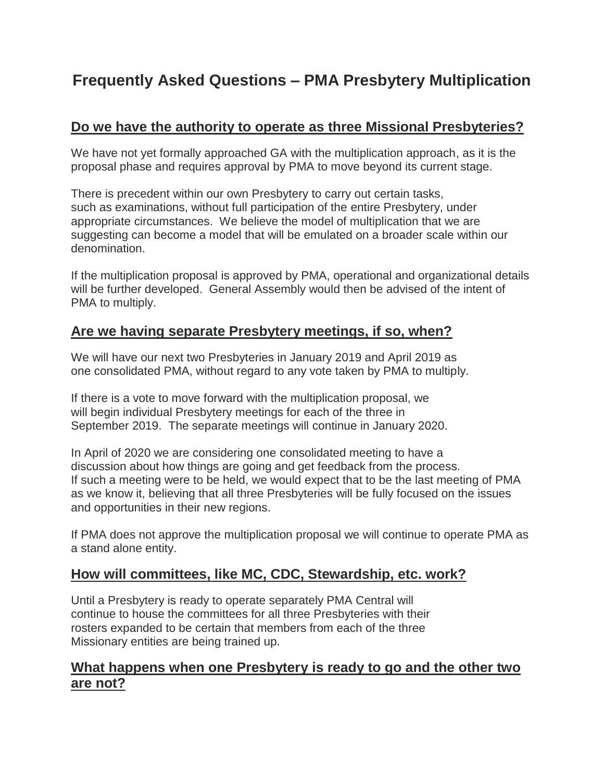# **Frequently Asked Questions – PMA Presbytery Multiplication**

# **Do we have the authority to operate as three Missional Presbyteries?**

We have not yet formally approached GA with the multiplication approach, as it is the proposal phase and requires approval by PMA to move beyond its current stage.

There is precedent within our own Presbytery to carry out certain tasks, such as examinations, without full participation of the entire Presbytery, under appropriate circumstances. We believe the model of multiplication that we are suggesting can become a model that will be emulated on a broader scale within our denomination.

If the multiplication proposal is approved by PMA, operational and organizational details will be further developed. General Assembly would then be advised of the intent of PMA to multiply.

# **Are we having separate Presbytery meetings, if so, when?**

We will have our next two Presbyteries in January 2019 and April 2019 as one consolidated PMA, without regard to any vote taken by PMA to multiply.

If there is a vote to move forward with the multiplication proposal, we will begin individual Presbytery meetings for each of the three in September 2019. The separate meetings will continue in January 2020.

In April of 2020 we are considering one consolidated meeting to have a discussion about how things are going and get feedback from the process. If such a meeting were to be held, we would expect that to be the last meeting of PMA as we know it, believing that all three Presbyteries will be fully focused on the issues and opportunities in their new regions.

If PMA does not approve the multiplication proposal we will continue to operate PMA as a stand alone entity.

# **How will committees, like MC, CDC, Stewardship, etc. work?**

Until a Presbytery is ready to operate separately PMA Central will continue to house the committees for all three Presbyteries with their rosters expanded to be certain that members from each of the three Missionary entities are being trained up.

#### **What happens when one Presbytery is ready to go and the other two are not?**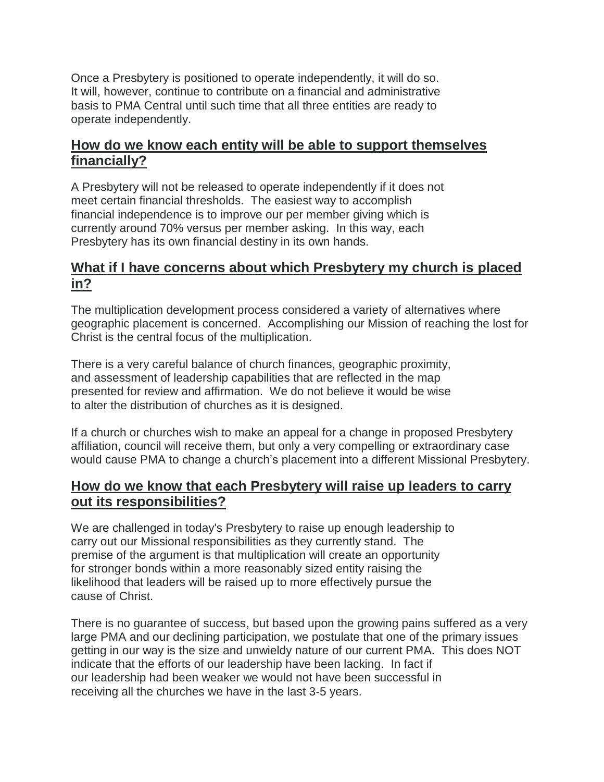Once a Presbytery is positioned to operate independently, it will do so. It will, however, continue to contribute on a financial and administrative basis to PMA Central until such time that all three entities are ready to operate independently.

# **How do we know each entity will be able to support themselves financially?**

A Presbytery will not be released to operate independently if it does not meet certain financial thresholds. The easiest way to accomplish financial independence is to improve our per member giving which is currently around 70% versus per member asking. In this way, each Presbytery has its own financial destiny in its own hands.

# **What if I have concerns about which Presbytery my church is placed in?**

The multiplication development process considered a variety of alternatives where geographic placement is concerned. Accomplishing our Mission of reaching the lost for Christ is the central focus of the multiplication.

There is a very careful balance of church finances, geographic proximity, and assessment of leadership capabilities that are reflected in the map presented for review and affirmation. We do not believe it would be wise to alter the distribution of churches as it is designed.

If a church or churches wish to make an appeal for a change in proposed Presbytery affiliation, council will receive them, but only a very compelling or extraordinary case would cause PMA to change a church's placement into a different Missional Presbytery.

# **How do we know that each Presbytery will raise up leaders to carry out its responsibilities?**

We are challenged in today's Presbytery to raise up enough leadership to carry out our Missional responsibilities as they currently stand. The premise of the argument is that multiplication will create an opportunity for stronger bonds within a more reasonably sized entity raising the likelihood that leaders will be raised up to more effectively pursue the cause of Christ.

There is no guarantee of success, but based upon the growing pains suffered as a very large PMA and our declining participation, we postulate that one of the primary issues getting in our way is the size and unwieldy nature of our current PMA. This does NOT indicate that the efforts of our leadership have been lacking. In fact if our leadership had been weaker we would not have been successful in receiving all the churches we have in the last 3-5 years.